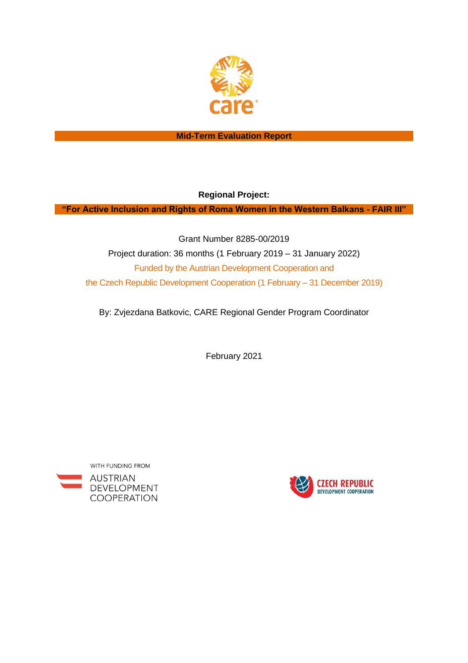

### **Mid-Term Evaluation Report**

**Regional Project:**

**"For Active Inclusion and Rights of Roma Women in the Western Balkans - FAIR III"**

Grant Number 8285-00/2019 Project duration: 36 months (1 February 2019 – 31 January 2022) Funded by the Austrian Development Cooperation and the Czech Republic Development Cooperation (1 February – 31 December 2019)

By: Zvjezdana Batkovic, CARE Regional Gender Program Coordinator

February 2021



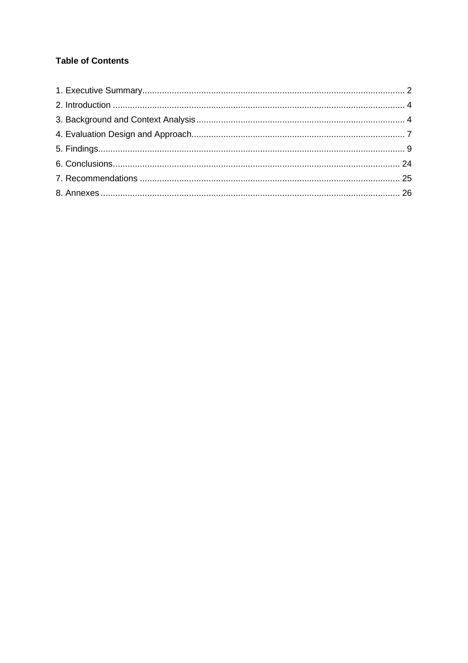# **Table of Contents**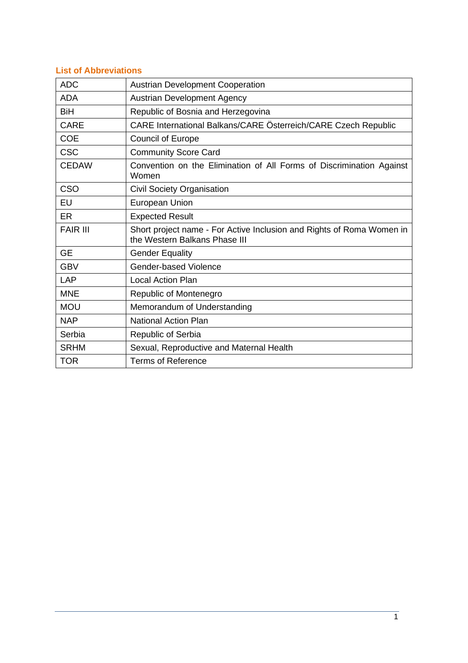# **List of Abbreviations**

| <b>ADC</b>      | <b>Austrian Development Cooperation</b>                                                                |
|-----------------|--------------------------------------------------------------------------------------------------------|
| <b>ADA</b>      | <b>Austrian Development Agency</b>                                                                     |
| <b>BiH</b>      | Republic of Bosnia and Herzegovina                                                                     |
| <b>CARE</b>     | CARE International Balkans/CARE Österreich/CARE Czech Republic                                         |
| <b>COE</b>      | <b>Council of Europe</b>                                                                               |
| <b>CSC</b>      | <b>Community Score Card</b>                                                                            |
| <b>CEDAW</b>    | Convention on the Elimination of All Forms of Discrimination Against<br>Women                          |
| CSO             | Civil Society Organisation                                                                             |
| EU              | European Union                                                                                         |
| ER              | <b>Expected Result</b>                                                                                 |
| <b>FAIR III</b> | Short project name - For Active Inclusion and Rights of Roma Women in<br>the Western Balkans Phase III |
| <b>GE</b>       | <b>Gender Equality</b>                                                                                 |
| <b>GBV</b>      | Gender-based Violence                                                                                  |
| LAP             | <b>Local Action Plan</b>                                                                               |
| <b>MNE</b>      | Republic of Montenegro                                                                                 |
| <b>MOU</b>      | Memorandum of Understanding                                                                            |
| <b>NAP</b>      | <b>National Action Plan</b>                                                                            |
| Serbia          | Republic of Serbia                                                                                     |
| <b>SRHM</b>     | Sexual, Reproductive and Maternal Health                                                               |
| <b>TOR</b>      | <b>Terms of Reference</b>                                                                              |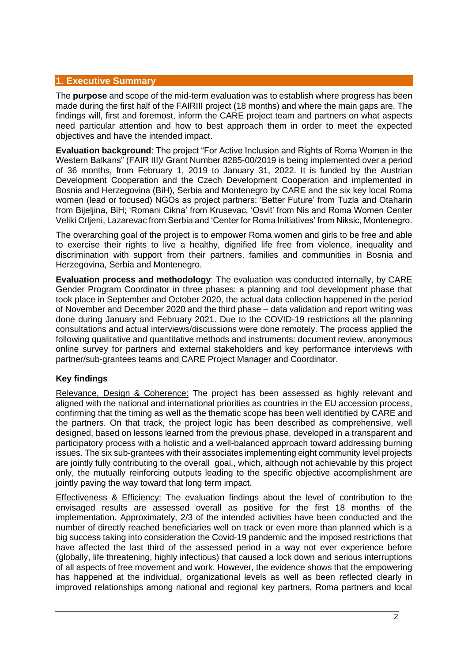### **1. Executive Summary**

The **purpose** and scope of the mid-term evaluation was to establish where progress has been made during the first half of the FAIRIII project (18 months) and where the main gaps are. The findings will, first and foremost, inform the CARE project team and partners on what aspects need particular attention and how to best approach them in order to meet the expected objectives and have the intended impact.

**Evaluation background**: The project "For Active Inclusion and Rights of Roma Women in the Western Balkans" (FAIR III)/ Grant Number 8285-00/2019 is being implemented over a period of 36 months, from February 1, 2019 to January 31, 2022. It is funded by the Austrian Development Cooperation and the Czech Development Cooperation and implemented in Bosnia and Herzegovina (BiH), Serbia and Montenegro by CARE and the six key local Roma women (lead or focused) NGOs as project partners: 'Better Future' from Tuzla and Otaharin from Bijeljina, BiH; 'Romani Cikna' from Krusevac, 'Osvit' from Nis and Roma Women Center Veliki Crljeni, Lazarevac from Serbia and 'Center for Roma Initiatives' from Niksic, Montenegro.

The overarching goal of the project is to empower Roma women and girls to be free and able to exercise their rights to live a healthy, dignified life free from violence, inequality and discrimination with support from their partners, families and communities in Bosnia and Herzegovina, Serbia and Montenegro.

**Evaluation process and methodology**: The evaluation was conducted internally, by CARE Gender Program Coordinator in three phases: a planning and tool development phase that took place in September and October 2020, the actual data collection happened in the period of November and December 2020 and the third phase – data validation and report writing was done during January and February 2021. Due to the COVID-19 restrictions all the planning consultations and actual interviews/discussions were done remotely. The process applied the following qualitative and quantitative methods and instruments: document review, anonymous online survey for partners and external stakeholders and key performance interviews with partner/sub-grantees teams and CARE Project Manager and Coordinator.

# **Key findings**

Relevance, Design & Coherence: The project has been assessed as highly relevant and aligned with the national and international priorities as countries in the EU accession process, confirming that the timing as well as the thematic scope has been well identified by CARE and the partners. On that track, the project logic has been described as comprehensive, well designed, based on lessons learned from the previous phase, developed in a transparent and participatory process with a holistic and a well-balanced approach toward addressing burning issues. The six sub-grantees with their associates implementing eight community level projects are jointly fully contributing to the overall goal., which, although not achievable by this project only, the mutually reinforcing outputs leading to the specific objective accomplishment are jointly paving the way toward that long term impact.

Effectiveness & Efficiency: The evaluation findings about the level of contribution to the envisaged results are assessed overall as positive for the first 18 months of the implementation. Approximately, 2/3 of the intended activities have been conducted and the number of directly reached beneficiaries well on track or even more than planned which is a big success taking into consideration the Covid-19 pandemic and the imposed restrictions that have affected the last third of the assessed period in a way not ever experience before (globally, life threatening, highly infectious) that caused a lock down and serious interruptions of all aspects of free movement and work. However, the evidence shows that the empowering has happened at the individual, organizational levels as well as been reflected clearly in improved relationships among national and regional key partners, Roma partners and local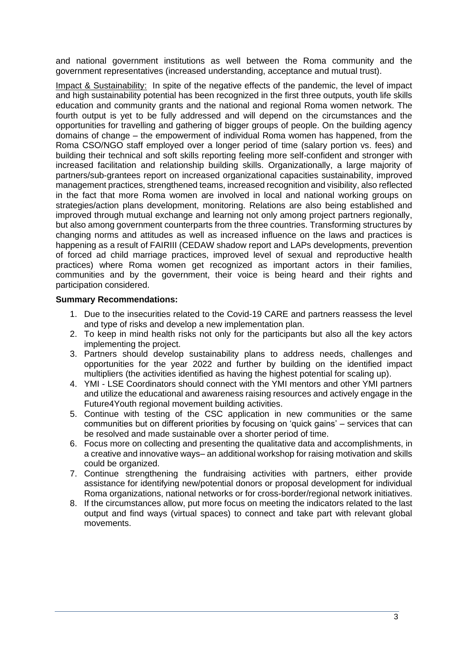and national government institutions as well between the Roma community and the government representatives (increased understanding, acceptance and mutual trust).

Impact & Sustainability: In spite of the negative effects of the pandemic, the level of impact and high sustainability potential has been recognized in the first three outputs, youth life skills education and community grants and the national and regional Roma women network. The fourth output is yet to be fully addressed and will depend on the circumstances and the opportunities for travelling and gathering of bigger groups of people. On the building agency domains of change – the empowerment of individual Roma women has happened, from the Roma CSO/NGO staff employed over a longer period of time (salary portion vs. fees) and building their technical and soft skills reporting feeling more self-confident and stronger with increased facilitation and relationship building skills. Organizationally, a large majority of partners/sub-grantees report on increased organizational capacities sustainability, improved management practices, strengthened teams, increased recognition and visibility, also reflected in the fact that more Roma women are involved in local and national working groups on strategies/action plans development, monitoring. Relations are also being established and improved through mutual exchange and learning not only among project partners regionally, but also among government counterparts from the three countries. Transforming structures by changing norms and attitudes as well as increased influence on the laws and practices is happening as a result of FAIRIII (CEDAW shadow report and LAPs developments, prevention of forced ad child marriage practices, improved level of sexual and reproductive health practices) where Roma women get recognized as important actors in their families, communities and by the government, their voice is being heard and their rights and participation considered.

### **Summary Recommendations:**

- 1. Due to the insecurities related to the Covid-19 CARE and partners reassess the level and type of risks and develop a new implementation plan.
- 2. To keep in mind health risks not only for the participants but also all the key actors implementing the project.
- 3. Partners should develop sustainability plans to address needs, challenges and opportunities for the year 2022 and further by building on the identified impact multipliers (the activities identified as having the highest potential for scaling up).
- 4. YMI LSE Coordinators should connect with the YMI mentors and other YMI partners and utilize the educational and awareness raising resources and actively engage in the Future4Youth regional movement building activities.
- 5. Continue with testing of the CSC application in new communities or the same communities but on different priorities by focusing on 'quick gains' – services that can be resolved and made sustainable over a shorter period of time.
- 6. Focus more on collecting and presenting the qualitative data and accomplishments, in a creative and innovative ways– an additional workshop for raising motivation and skills could be organized.
- 7. Continue strengthening the fundraising activities with partners, either provide assistance for identifying new/potential donors or proposal development for individual Roma organizations, national networks or for cross-border/regional network initiatives.
- 8. If the circumstances allow, put more focus on meeting the indicators related to the last output and find ways (virtual spaces) to connect and take part with relevant global movements.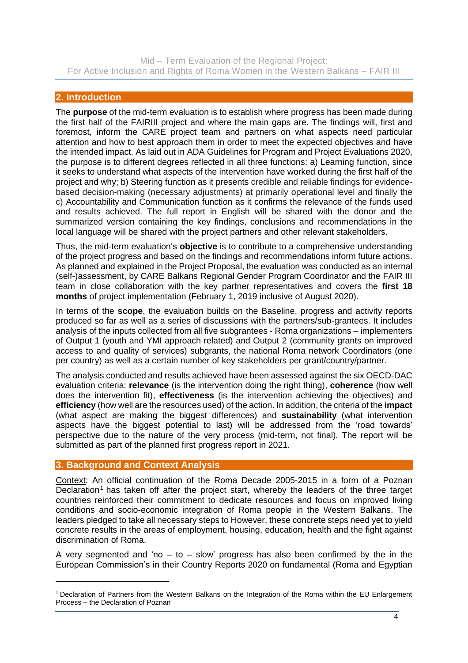# **2. Introduction**

The **purpose** of the mid-term evaluation is to establish where progress has been made during the first half of the FAIRIII project and where the main gaps are. The findings will, first and foremost, inform the CARE project team and partners on what aspects need particular attention and how to best approach them in order to meet the expected objectives and have the intended impact. As laid out in ADA Guidelines for Program and Project Evaluations 2020, the purpose is to different degrees reflected in all three functions: a) Learning function, since it seeks to understand what aspects of the intervention have worked during the first half of the project and why; b) Steering function as it presents credible and reliable findings for evidencebased decision-making (necessary adjustments) at primarily operational level and finally the c) Accountability and Communication function as it confirms the relevance of the funds used and results achieved. The full report in English will be shared with the donor and the summarized version containing the key findings, conclusions and recommendations in the local language will be shared with the project partners and other relevant stakeholders.

Thus, the mid-term evaluation's **objective** is to contribute to a comprehensive understanding of the project progress and based on the findings and recommendations inform future actions. As planned and explained in the Project Proposal, the evaluation was conducted as an internal (self-)assessment, by CARE Balkans Regional Gender Program Coordinator and the FAIR III team in close collaboration with the key partner representatives and covers the **first 18 months** of project implementation (February 1, 2019 inclusive of August 2020).

In terms of the **scope**, the evaluation builds on the Baseline, progress and activity reports produced so far as well as a series of discussions with the partners/sub-grantees. It includes analysis of the inputs collected from all five subgrantees - Roma organizations – implementers of Output 1 (youth and YMI approach related) and Output 2 (community grants on improved access to and quality of services) subgrants, the national Roma network Coordinators (one per country) as well as a certain number of key stakeholders per grant/country/partner.

The analysis conducted and results achieved have been assessed against the six OECD-DAC evaluation criteria: **relevance** (is the intervention doing the right thing), **coherence** (how well does the intervention fit), **effectiveness** (is the intervention achieving the objectives) and **efficiency** (how well are the resources used) of the action. In addition, the criteria of the **impact** (what aspect are making the biggest differences) and **sustainability** (what intervention aspects have the biggest potential to last) will be addressed from the 'road towards' perspective due to the nature of the very process (mid-term, not final). The report will be submitted as part of the planned first progress report in 2021.

# **3. Background and Context Analysis**

Context: An official continuation of the Roma Decade 2005-2015 in a form of a Poznan  $\overline{\text{Declaration}}^1$  has taken off after the project start, whereby the leaders of the three target countries reinforced their commitment to dedicate resources and focus on improved living conditions and socio-economic integration of Roma people in the Western Balkans. The leaders pledged to take all necessary steps to However, these concrete steps need yet to yield concrete results in the areas of employment, housing, education, health and the fight against discrimination of Roma.

A very segmented and 'no  $-$  to  $-$  slow' progress has also been confirmed by the in the European Commission's in their Country Reports 2020 on fundamental (Roma and Egyptian

<sup>&</sup>lt;sup>1</sup> Declaration of Partners from the Western Balkans on the Integration of the Roma within the EU Enlargement Process – the Declaration of Poznan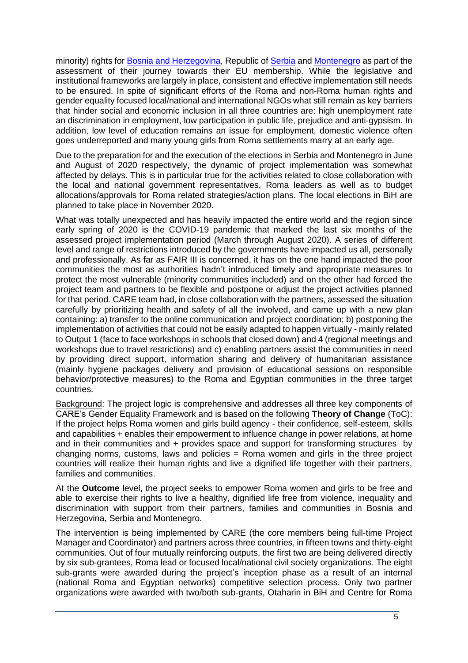minority) rights for [Bosnia and Herzegovina,](https://ec.europa.eu/neighbourhood-enlargement/sites/near/files/bosnia_and_herzegovina_report_2020.pdf) Republic o[f Serbia](https://ec.europa.eu/neighbourhood-enlargement/sites/near/files/serbia_report_2020.pdf) and [Montenegro](https://ec.europa.eu/neighbourhood-enlargement/sites/near/files/montenegro_report_2020.pdf) as part of the assessment of their journey towards their EU membership. While the legislative and institutional frameworks are largely in place, consistent and effective implementation still needs to be ensured. In spite of significant efforts of the Roma and non-Roma human rights and gender equality focused local/national and international NGOs what still remain as key barriers that hinder social and economic inclusion in all three countries are: high unemployment rate an discrimination in employment, low participation in public life, prejudice and anti-gypsism. In addition, low level of education remains an issue for employment, domestic violence often goes underreported and many young girls from Roma settlements marry at an early age.

Due to the preparation for and the execution of the elections in Serbia and Montenegro in June and August of 2020 respectively, the dynamic of project implementation was somewhat affected by delays. This is in particular true for the activities related to close collaboration with the local and national government representatives, Roma leaders as well as to budget allocations/approvals for Roma related strategies/action plans. The local elections in BiH are planned to take place in November 2020.

What was totally unexpected and has heavily impacted the entire world and the region since early spring of 2020 is the COVID-19 pandemic that marked the last six months of the assessed project implementation period (March through August 2020). A series of different level and range of restrictions introduced by the governments have impacted us all, personally and professionally. As far as FAIR III is concerned, it has on the one hand impacted the poor communities the most as authorities hadn't introduced timely and appropriate measures to protect the most vulnerable (minority communities included) and on the other had forced the project team and partners to be flexible and postpone or adjust the project activities planned for that period. CARE team had, in close collaboration with the partners, assessed the situation carefully by prioritizing health and safety of all the involved, and came up with a new plan containing: a) transfer to the online communication and project coordination; b) postponing the implementation of activities that could not be easily adapted to happen virtually - mainly related to Output 1 (face to face workshops in schools that closed down) and 4 (regional meetings and workshops due to travel restrictions) and c) enabling partners assist the communities in need by providing direct support, information sharing and delivery of humanitarian assistance (mainly hygiene packages delivery and provision of educational sessions on responsible behavior/protective measures) to the Roma and Egyptian communities in the three target countries.

Background: The project logic is comprehensive and addresses all three key components of CARE's Gender Equality Framework and is based on the following **Theory of Change** (ToC): If the project helps Roma women and girls build agency - their confidence, self-esteem, skills and capabilities + enables their empowerment to influence change in power relations, at home and in their communities and + provides space and support for transforming structures by changing norms, customs, laws and policies  $=$  Roma women and girls in the three project countries will realize their human rights and live a dignified life together with their partners, families and communities.

At the **Outcome** level, the project seeks to empower Roma women and girls to be free and able to exercise their rights to live a healthy, dignified life free from violence, inequality and discrimination with support from their partners, families and communities in Bosnia and Herzegovina, Serbia and Montenegro.

The intervention is being implemented by CARE (the core members being full-time Project Manager and Coordinator) and partners across three countries, in fifteen towns and thirty-eight communities. Out of four mutually reinforcing outputs, the first two are being delivered directly by six sub-grantees, Roma lead or focused local/national civil society organizations. The eight sub-grants were awarded during the project's inception phase as a result of an internal (national Roma and Egyptian networks) competitive selection process. Only two partner organizations were awarded with two/both sub-grants, Otaharin in BiH and Centre for Roma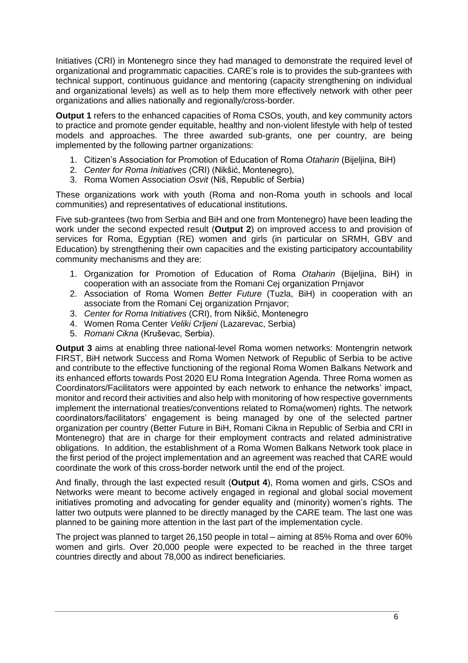Initiatives (CRI) in Montenegro since they had managed to demonstrate the required level of organizational and programmatic capacities. CARE's role is to provides the sub-grantees with technical support, continuous guidance and mentoring (capacity strengthening on individual and organizational levels) as well as to help them more effectively network with other peer organizations and allies nationally and regionally/cross-border.

**Output 1** refers to the enhanced capacities of Roma CSOs, youth, and key community actors to practice and promote gender equitable, healthy and non-violent lifestyle with help of tested models and approaches. The three awarded sub-grants, one per country, are being implemented by the following partner organizations:

- 1. Citizen's Association for Promotion of Education of Roma *Otaharin* (Bijeljina, BiH)
- 2. *Center for Roma Initiatives* (CRI) (Nikšić, Montenegro),
- 3. Roma Women Association *Osvit* (Niš, Republic of Serbia)

These organizations work with youth (Roma and non-Roma youth in schools and local communities) and representatives of educational institutions.

Five sub-grantees (two from Serbia and BiH and one from Montenegro) have been leading the work under the second expected result (**Output 2**) on improved access to and provision of services for Roma, Egyptian (RE) women and girls (in particular on SRMH, GBV and Education) by strengthening their own capacities and the existing participatory accountability community mechanisms and they are:

- 1. Organization for Promotion of Education of Roma *Otaharin* (Bijeljina, BiH) in cooperation with an associate from the Romani Cej organization Prnjavor
- 2. Association of Roma Women *Better Future* (Tuzla, BiH) in cooperation with an associate from the Romani Cej organization Prnjavor;
- 3. *Center for Roma Initiatives* (CRI), from Nikšić, Montenegro
- 4. Women Roma Center *Veliki Crljeni* (Lazarevac, Serbia)
- 5. *Romani Cikna* (Kruševac, Serbia).

**Output 3** aims at enabling three national-level Roma women networks: Montengrin network FIRST, BiH network Success and Roma Women Network of Republic of Serbia to be active and contribute to the effective functioning of the regional Roma Women Balkans Network and its enhanced efforts towards Post 2020 EU Roma Integration Agenda. Three Roma women as Coordinators/Facilitators were appointed by each network to enhance the networks' impact, monitor and record their activities and also help with monitoring of how respective governments implement the international treaties/conventions related to Roma(women) rights. The network coordinators/facilitators' engagement is being managed by one of the selected partner organization per country (Better Future in BiH, Romani Cikna in Republic of Serbia and CRI in Montenegro) that are in charge for their employment contracts and related administrative obligations. In addition, the establishment of a Roma Women Balkans Network took place in the first period of the project implementation and an agreement was reached that CARE would coordinate the work of this cross-border network until the end of the project.

And finally, through the last expected result (**Output 4**), Roma women and girls, CSOs and Networks were meant to become actively engaged in regional and global social movement initiatives promoting and advocating for gender equality and (minority) women's rights. The latter two outputs were planned to be directly managed by the CARE team. The last one was planned to be gaining more attention in the last part of the implementation cycle.

The project was planned to target 26,150 people in total – aiming at 85% Roma and over 60% women and girls. Over 20,000 people were expected to be reached in the three target countries directly and about 78,000 as indirect beneficiaries.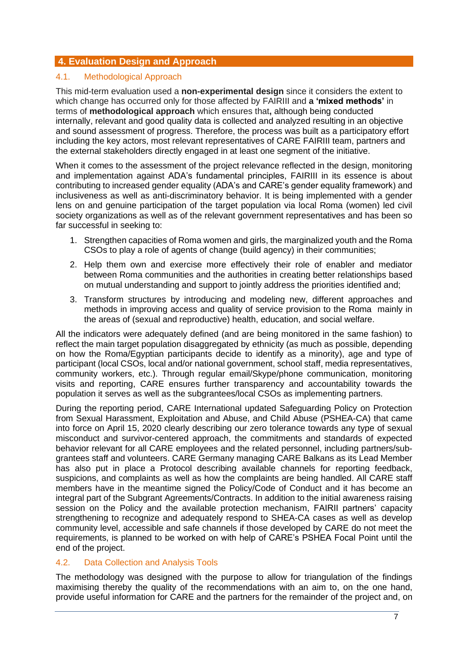# **4. Evaluation Design and Approach**

### 4.1. Methodological Approach

This mid-term evaluation used a **non-experimental design** since it considers the extent to which change has occurred only for those affected by FAIRIII and **a 'mixed methods'** in terms of **methodological approach** which ensures that**,** although being conducted internally, relevant and good quality data is collected and analyzed resulting in an objective and sound assessment of progress. Therefore, the process was built as a participatory effort including the key actors, most relevant representatives of CARE FAIRIII team, partners and the external stakeholders directly engaged in at least one segment of the initiative.

When it comes to the assessment of the project relevance reflected in the design, monitoring and implementation against ADA's fundamental principles, FAIRIII in its essence is about contributing to increased gender equality (ADA's and CARE's gender equality framework) and inclusiveness as well as anti-discriminatory behavior. It is being implemented with a gender lens on and genuine participation of the target population via local Roma (women) led civil society organizations as well as of the relevant government representatives and has been so far successful in seeking to:

- 1. Strengthen capacities of Roma women and girls, the marginalized youth and the Roma CSOs to play a role of agents of change (build agency) in their communities;
- 2. Help them own and exercise more effectively their role of enabler and mediator between Roma communities and the authorities in creating better relationships based on mutual understanding and support to jointly address the priorities identified and;
- 3. Transform structures by introducing and modeling new, different approaches and methods in improving access and quality of service provision to the Roma mainly in the areas of (sexual and reproductive) health, education, and social welfare.

All the indicators were adequately defined (and are being monitored in the same fashion) to reflect the main target population disaggregated by ethnicity (as much as possible, depending on how the Roma/Egyptian participants decide to identify as a minority), age and type of participant (local CSOs, local and/or national government, school staff, media representatives, community workers, etc.). Through regular email/Skype/phone communication, monitoring visits and reporting, CARE ensures further transparency and accountability towards the population it serves as well as the subgrantees/local CSOs as implementing partners.

During the reporting period, CARE International updated Safeguarding Policy on Protection from Sexual Harassment, Exploitation and Abuse, and Child Abuse (PSHEA-CA) that came into force on April 15, 2020 clearly describing our zero tolerance towards any type of sexual misconduct and survivor-centered approach, the commitments and standards of expected behavior relevant for all CARE employees and the related personnel, including partners/subgrantees staff and volunteers. CARE Germany managing CARE Balkans as its Lead Member has also put in place a Protocol describing available channels for reporting feedback, suspicions, and complaints as well as how the complaints are being handled. All CARE staff members have in the meantime signed the Policy/Code of Conduct and it has become an integral part of the Subgrant Agreements/Contracts. In addition to the initial awareness raising session on the Policy and the available protection mechanism, FAIRII partners' capacity strengthening to recognize and adequately respond to SHEA-CA cases as well as develop community level, accessible and safe channels if those developed by CARE do not meet the requirements, is planned to be worked on with help of CARE's PSHEA Focal Point until the end of the project.

# 4.2. Data Collection and Analysis Tools

The methodology was designed with the purpose to allow for triangulation of the findings maximising thereby the quality of the recommendations with an aim to, on the one hand, provide useful information for CARE and the partners for the remainder of the project and, on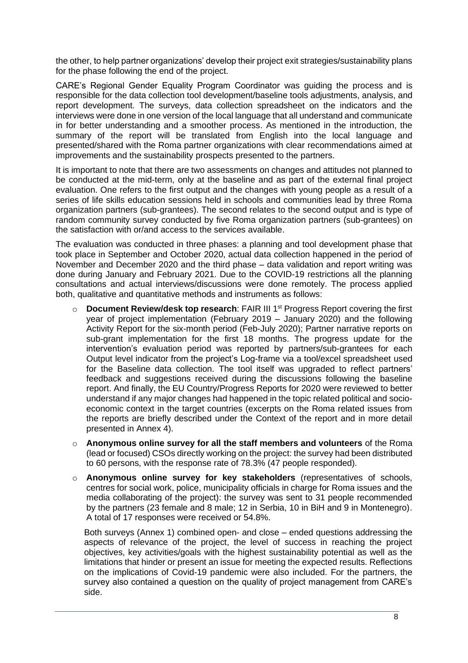the other, to help partner organizations' develop their project exit strategies/sustainability plans for the phase following the end of the project.

CARE's Regional Gender Equality Program Coordinator was guiding the process and is responsible for the data collection tool development/baseline tools adjustments, analysis, and report development. The surveys, data collection spreadsheet on the indicators and the interviews were done in one version of the local language that all understand and communicate in for better understanding and a smoother process. As mentioned in the introduction, the summary of the report will be translated from English into the local language and presented/shared with the Roma partner organizations with clear recommendations aimed at improvements and the sustainability prospects presented to the partners.

It is important to note that there are two assessments on changes and attitudes not planned to be conducted at the mid-term, only at the baseline and as part of the external final project evaluation. One refers to the first output and the changes with young people as a result of a series of life skills education sessions held in schools and communities lead by three Roma organization partners (sub-grantees). The second relates to the second output and is type of random community survey conducted by five Roma organization partners (sub-grantees) on the satisfaction with or/and access to the services available.

The evaluation was conducted in three phases: a planning and tool development phase that took place in September and October 2020, actual data collection happened in the period of November and December 2020 and the third phase – data validation and report writing was done during January and February 2021. Due to the COVID-19 restrictions all the planning consultations and actual interviews/discussions were done remotely. The process applied both, qualitative and quantitative methods and instruments as follows:

- o **Document Review/desk top research**: FAIR III 1st Progress Report covering the first year of project implementation (February 2019 – January 2020) and the following Activity Report for the six-month period (Feb-July 2020); Partner narrative reports on sub-grant implementation for the first 18 months. The progress update for the intervention's evaluation period was reported by partners/sub-grantees for each Output level indicator from the project's Log-frame via a tool/excel spreadsheet used for the Baseline data collection. The tool itself was upgraded to reflect partners' feedback and suggestions received during the discussions following the baseline report. And finally, the EU Country/Progress Reports for 2020 were reviewed to better understand if any major changes had happened in the topic related political and socioeconomic context in the target countries (excerpts on the Roma related issues from the reports are briefly described under the Context of the report and in more detail presented in Annex 4).
- o **Anonymous online survey for all the staff members and volunteers** of the Roma (lead or focused) CSOs directly working on the project: the survey had been distributed to 60 persons, with the response rate of 78.3% (47 people responded).
- o **Anonymous online survey for key stakeholders** (representatives of schools, centres for social work, police, municipality officials in charge for Roma issues and the media collaborating of the project): the survey was sent to 31 people recommended by the partners (23 female and 8 male; 12 in Serbia, 10 in BiH and 9 in Montenegro). A total of 17 responses were received or 54.8%.

Both surveys (Annex 1) combined open- and close – ended questions addressing the aspects of relevance of the project, the level of success in reaching the project objectives, key activities/goals with the highest sustainability potential as well as the limitations that hinder or present an issue for meeting the expected results. Reflections on the implications of Covid-19 pandemic were also included. For the partners, the survey also contained a question on the quality of project management from CARE's side.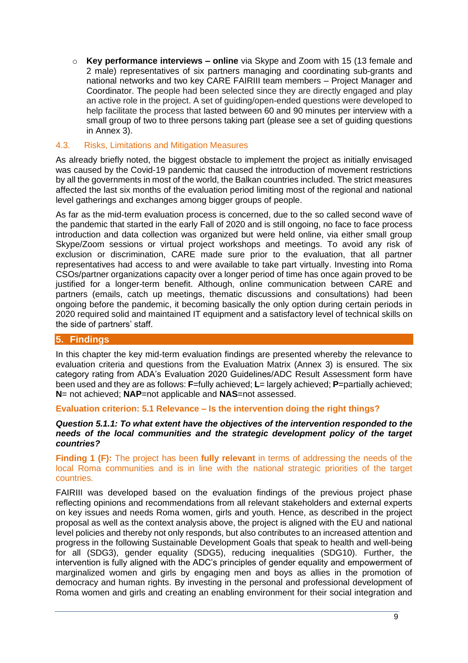o **Key performance interviews – online** via Skype and Zoom with 15 (13 female and 2 male) representatives of six partners managing and coordinating sub-grants and national networks and two key CARE FAIRIII team members – Project Manager and Coordinator. The people had been selected since they are directly engaged and play an active role in the project. A set of guiding/open-ended questions were developed to help facilitate the process that lasted between 60 and 90 minutes per interview with a small group of two to three persons taking part (please see a set of guiding questions in Annex 3).

### 4.3. Risks, Limitations and Mitigation Measures

As already briefly noted, the biggest obstacle to implement the project as initially envisaged was caused by the Covid-19 pandemic that caused the introduction of movement restrictions by all the governments in most of the world, the Balkan countries included. The strict measures affected the last six months of the evaluation period limiting most of the regional and national level gatherings and exchanges among bigger groups of people.

As far as the mid-term evaluation process is concerned, due to the so called second wave of the pandemic that started in the early Fall of 2020 and is still ongoing, no face to face process introduction and data collection was organized but were held online, via either small group Skype/Zoom sessions or virtual project workshops and meetings. To avoid any risk of exclusion or discrimination, CARE made sure prior to the evaluation, that all partner representatives had access to and were available to take part virtually. Investing into Roma CSOs/partner organizations capacity over a longer period of time has once again proved to be justified for a longer-term benefit. Although, online communication between CARE and partners (emails, catch up meetings, thematic discussions and consultations) had been ongoing before the pandemic, it becoming basically the only option during certain periods in 2020 required solid and maintained IT equipment and a satisfactory level of technical skills on the side of partners' staff.

### **5. Findings**

In this chapter the key mid-term evaluation findings are presented whereby the relevance to evaluation criteria and questions from the Evaluation Matrix (Annex 3) is ensured. The six category rating from ADA's Evaluation 2020 Guidelines/ADC Result Assessment form have been used and they are as follows: **F**=fully achieved; **L**= largely achieved; **P**=partially achieved; **N**= not achieved; **NAP**=not applicable and **NAS**=not assessed.

# **Evaluation criterion: 5.1 Relevance – Is the intervention doing the right things?**

#### *Question 5.1.1: To what extent have the objectives of the intervention responded to the needs of the local communities and the strategic development policy of the target countries?*

**Finding 1 (F):** The project has been **fully relevant** in terms of addressing the needs of the local Roma communities and is in line with the national strategic priorities of the target countries.

FAIRIII was developed based on the evaluation findings of the previous project phase reflecting opinions and recommendations from all relevant stakeholders and external experts on key issues and needs Roma women, girls and youth. Hence, as described in the project proposal as well as the context analysis above, the project is aligned with the EU and national level policies and thereby not only responds, but also contributes to an increased attention and progress in the following Sustainable Development Goals that speak to health and well-being for all (SDG3), gender equality (SDG5), reducing inequalities (SDG10). Further, the intervention is fully aligned with the ADC's principles of gender equality and empowerment of marginalized women and girls by engaging men and boys as allies in the promotion of democracy and human rights. By investing in the personal and professional development of Roma women and girls and creating an enabling environment for their social integration and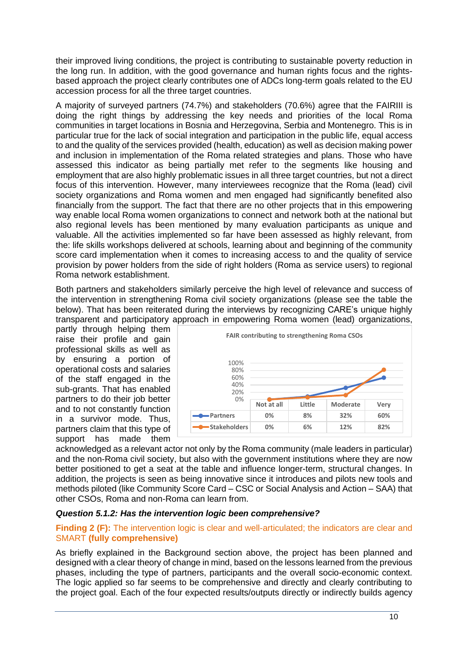their improved living conditions, the project is contributing to sustainable poverty reduction in the long run. In addition, with the good governance and human rights focus and the rightsbased approach the project clearly contributes one of ADCs long-term goals related to the EU accession process for all the three target countries.

A majority of surveyed partners (74.7%) and stakeholders (70.6%) agree that the FAIRIII is doing the right things by addressing the key needs and priorities of the local Roma communities in target locations in Bosnia and Herzegovina, Serbia and Montenegro. This is in particular true for the lack of social integration and participation in the public life, equal access to and the quality of the services provided (health, education) as well as decision making power and inclusion in implementation of the Roma related strategies and plans. Those who have assessed this indicator as being partially met refer to the segments like housing and employment that are also highly problematic issues in all three target countries, but not a direct focus of this intervention. However, many interviewees recognize that the Roma (lead) civil society organizations and Roma women and men engaged had significantly benefited also financially from the support. The fact that there are no other projects that in this empowering way enable local Roma women organizations to connect and network both at the national but also regional levels has been mentioned by many evaluation participants as unique and valuable. All the activities implemented so far have been assessed as highly relevant, from the: life skills workshops delivered at schools, learning about and beginning of the community score card implementation when it comes to increasing access to and the quality of service provision by power holders from the side of right holders (Roma as service users) to regional Roma network establishment.

Both partners and stakeholders similarly perceive the high level of relevance and success of the intervention in strengthening Roma civil society organizations (please see the table the below). That has been reiterated during the interviews by recognizing CARE's unique highly transparent and participatory approach in empowering Roma women (lead) organizations,

partly through helping them raise their profile and gain professional skills as well as by ensuring a portion of operational costs and salaries of the staff engaged in the sub-grants. That has enabled partners to do their job better and to not constantly function in a survivor mode. Thus, partners claim that this type of support has made them



acknowledged as a relevant actor not only by the Roma community (male leaders in particular) and the non-Roma civil society, but also with the government institutions where they are now better positioned to get a seat at the table and influence longer-term, structural changes. In addition, the projects is seen as being innovative since it introduces and pilots new tools and methods piloted (like Community Score Card – CSC or Social Analysis and Action – SAA) that other CSOs, Roma and non-Roma can learn from.

### *Question 5.1.2: Has the intervention logic been comprehensive?*

### **Finding 2 (F):** The intervention logic is clear and well-articulated; the indicators are clear and SMART **(fully comprehensive)**

As briefly explained in the Background section above, the project has been planned and designed with a clear theory of change in mind, based on the lessons learned from the previous phases, including the type of partners, participants and the overall socio-economic context. The logic applied so far seems to be comprehensive and directly and clearly contributing to the project goal. Each of the four expected results/outputs directly or indirectly builds agency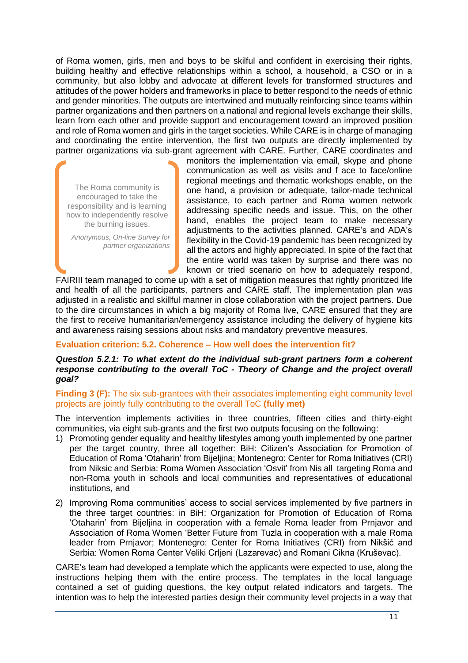of Roma women, girls, men and boys to be skilful and confident in exercising their rights, building healthy and effective relationships within a school, a household, a CSO or in a community, but also lobby and advocate at different levels for transformed structures and attitudes of the power holders and frameworks in place to better respond to the needs of ethnic and gender minorities. The outputs are intertwined and mutually reinforcing since teams within partner organizations and then partners on a national and regional levels exchange their skills, learn from each other and provide support and encouragement toward an improved position and role of Roma women and girls in the target societies. While CARE is in charge of managing and coordinating the entire intervention, the first two outputs are directly implemented by partner organizations via sub-grant agreement with CARE. Further, CARE coordinates and

The Roma community is encouraged to take the responsibility and is learning how to independently resolve the burning issues.

*Anonymous, On-line Survey for partner organizations* monitors the implementation via email, skype and phone communication as well as visits and f ace to face/online regional meetings and thematic workshops enable, on the one hand, a provision or adequate, tailor-made technical assistance, to each partner and Roma women network addressing specific needs and issue. This, on the other hand, enables the project team to make necessary adjustments to the activities planned. CARE's and ADA's flexibility in the Covid-19 pandemic has been recognized by all the actors and highly appreciated. In spite of the fact that the entire world was taken by surprise and there was no known or tried scenario on how to adequately respond,

FAIRIII team managed to come up with a set of mitigation measures that rightly prioritized life and health of all the participants, partners and CARE staff. The implementation plan was adjusted in a realistic and skillful manner in close collaboration with the project partners. Due to the dire circumstances in which a big majority of Roma live, CARE ensured that they are the first to receive humanitarian/emergency assistance including the delivery of hygiene kits and awareness raising sessions about risks and mandatory preventive measures.

### **Evaluation criterion: 5.2. Coherence – How well does the intervention fit?**

### *Question 5.2.1: To what extent do the individual sub-grant partners form a coherent response contributing to the overall ToC - Theory of Change and the project overall goal?*

### **Finding 3 (F):** The six sub-grantees with their associates implementing eight community level projects are jointly fully contributing to the overall ToC **(fully met)**

The intervention implements activities in three countries, fifteen cities and thirty-eight communities, via eight sub-grants and the first two outputs focusing on the following:

- 1) Promoting gender equality and healthy lifestyles among youth implemented by one partner per the target country, three all together: BiH: Citizen's Association for Promotion of Education of Roma 'Otaharin' from Bijeljina; Montenegro: Center for Roma Initiatives (CRI) from Niksic and Serbia: Roma Women Association 'Osvit' from Nis all targeting Roma and non-Roma youth in schools and local communities and representatives of educational institutions, and
- 2) Improving Roma communities' access to social services implemented by five partners in the three target countries: in BiH: Organization for Promotion of Education of Roma 'Otaharin' from Bijeljina in cooperation with a female Roma leader from Prnjavor and Association of Roma Women 'Better Future from Tuzla in cooperation with a male Roma leader from Prnjavor; Montenegro: Center for Roma Initiatives (CRI) from Nikšić and Serbia: Women Roma Center Veliki Crljeni (Lazarevac) and Romani Cikna (Kruševac).

CARE's team had developed a template which the applicants were expected to use, along the instructions helping them with the entire process. The templates in the local language contained a set of guiding questions, the key output related indicators and targets. The intention was to help the interested parties design their community level projects in a way that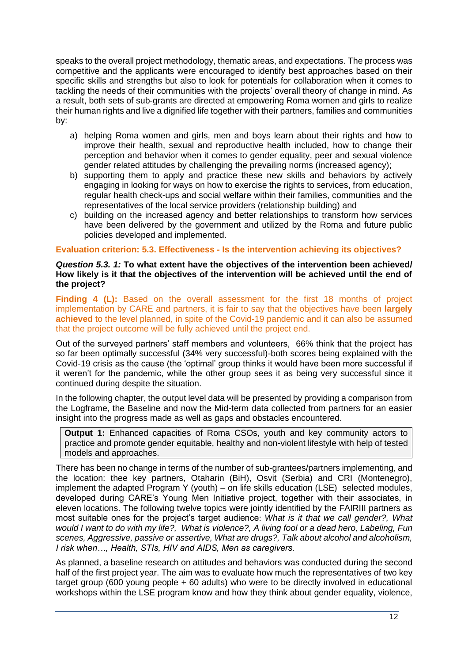speaks to the overall project methodology, thematic areas, and expectations. The process was competitive and the applicants were encouraged to identify best approaches based on their specific skills and strengths but also to look for potentials for collaboration when it comes to tackling the needs of their communities with the projects' overall theory of change in mind. As a result, both sets of sub-grants are directed at empowering Roma women and girls to realize their human rights and live a dignified life together with their partners, families and communities by:

- a) helping Roma women and girls, men and boys learn about their rights and how to improve their health, sexual and reproductive health included, how to change their perception and behavior when it comes to gender equality, peer and sexual violence gender related attitudes by challenging the prevailing norms (increased agency);
- b) supporting them to apply and practice these new skills and behaviors by actively engaging in looking for ways on how to exercise the rights to services, from education, regular health check-ups and social welfare within their families, communities and the representatives of the local service providers (relationship building) and
- c) building on the increased agency and better relationships to transform how services have been delivered by the government and utilized by the Roma and future public policies developed and implemented.

### **Evaluation criterion: 5.3. Effectiveness - Is the intervention achieving its objectives?**

#### *Question 5.3. 1:* **To what extent have the objectives of the intervention been achieved/ How likely is it that the objectives of the intervention will be achieved until the end of the project?**

**Finding 4 (L):** Based on the overall assessment for the first 18 months of project implementation by CARE and partners, it is fair to say that the objectives have been **largely achieved** to the level planned, in spite of the Covid-19 pandemic and it can also be assumed that the project outcome will be fully achieved until the project end.

Out of the surveyed partners' staff members and volunteers, 66% think that the project has so far been optimally successful (34% very successful)-both scores being explained with the Covid-19 crisis as the cause (the 'optimal' group thinks it would have been more successful if it weren't for the pandemic, while the other group sees it as being very successful since it continued during despite the situation.

In the following chapter, the output level data will be presented by providing a comparison from the Logframe, the Baseline and now the Mid-term data collected from partners for an easier insight into the progress made as well as gaps and obstacles encountered.

**Output 1:** Enhanced capacities of Roma CSOs, youth and key community actors to practice and promote gender equitable, healthy and non-violent lifestyle with help of tested models and approaches.

There has been no change in terms of the number of sub-grantees/partners implementing, and the location: thee key partners, Otaharin (BiH), Osvit (Serbia) and CRI (Montenegro), implement the adapted Program Y (youth) – on life skills education (LSE) selected modules, developed during CARE's Young Men Initiative project, together with their associates, in eleven locations. The following twelve topics were jointly identified by the FAIRIII partners as most suitable ones for the project's target audience: *What is it that we call gender?, What would I want to do with my life?, What is violence?, A living fool or a dead hero, Labeling, Fun scenes, Aggressive, passive or assertive, What are drugs?, Talk about alcohol and alcoholism, I risk when…, Health, STIs, HIV and AIDS, Men as caregivers.*

As planned, a baseline research on attitudes and behaviors was conducted during the second half of the first project year. The aim was to evaluate how much the representatives of two key target group (600 young people + 60 adults) who were to be directly involved in educational workshops within the LSE program know and how they think about gender equality, violence,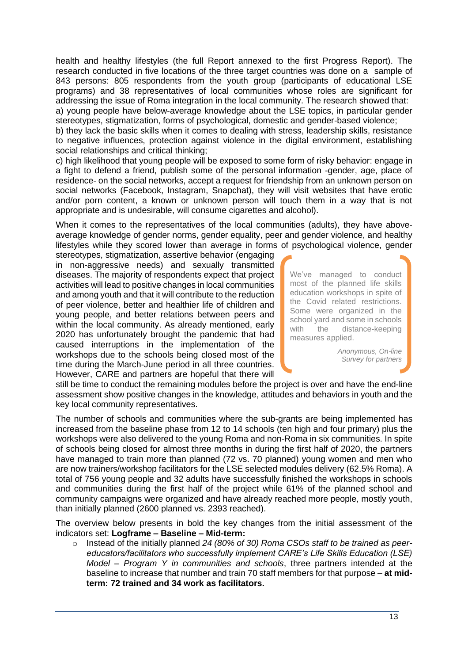health and healthy lifestyles (the full Report annexed to the first Progress Report). The research conducted in five locations of the three target countries was done on a sample of 843 persons: 805 respondents from the youth group (participants of educational LSE programs) and 38 representatives of local communities whose roles are significant for addressing the issue of Roma integration in the local community. The research showed that: a) young people have below-average knowledge about the LSE topics, in particular gender stereotypes, stigmatization, forms of psychological, domestic and gender-based violence;

b) they lack the basic skills when it comes to dealing with stress, leadership skills, resistance to negative influences, protection against violence in the digital environment, establishing social relationships and critical thinking;

c) high likelihood that young people will be exposed to some form of risky behavior: engage in a fight to defend a friend, publish some of the personal information -gender, age, place of residence- on the social networks, accept a request for friendship from an unknown person on social networks (Facebook, Instagram, Snapchat), they will visit websites that have erotic and/or porn content, a known or unknown person will touch them in a way that is not appropriate and is undesirable, will consume cigarettes and alcohol).

When it comes to the representatives of the local communities (adults), they have aboveaverage knowledge of gender norms, gender equality, peer and gender violence, and healthy lifestyles while they scored lower than average in forms of psychological violence, gender

stereotypes, stigmatization, assertive behavior (engaging in non-aggressive needs) and sexually transmitted diseases. The majority of respondents expect that project activities will lead to positive changes in local communities and among youth and that it will contribute to the reduction of peer violence, better and healthier life of children and young people, and better relations between peers and within the local community. As already mentioned, early 2020 has unfortunately brought the pandemic that had caused interruptions in the implementation of the workshops due to the schools being closed most of the time during the March-June period in all three countries. However, CARE and partners are hopeful that there will

We've managed to conduct most of the planned life skills education workshops in spite of the Covid related restrictions. Some were organized in the school yard and some in schools with the distance-keeping measures applied.

> *Anonymous, On-line Survey for partners*

still be time to conduct the remaining modules before the project is over and have the end-line assessment show positive changes in the knowledge, attitudes and behaviors in youth and the key local community representatives.

The number of schools and communities where the sub-grants are being implemented has increased from the baseline phase from 12 to 14 schools (ten high and four primary) plus the workshops were also delivered to the young Roma and non-Roma in six communities. In spite of schools being closed for almost three months in during the first half of 2020, the partners have managed to train more than planned (72 vs. 70 planned) young women and men who are now trainers/workshop facilitators for the LSE selected modules delivery (62.5% Roma). A total of 756 young people and 32 adults have successfully finished the workshops in schools and communities during the first half of the project while 61% of the planned school and community campaigns were organized and have already reached more people, mostly youth, than initially planned (2600 planned vs. 2393 reached).

The overview below presents in bold the key changes from the initial assessment of the indicators set: **Logframe – Baseline – Mid-term:**

o Instead of the initially planned *24 (80% of 30) Roma CSOs staff to be trained as peereducators/facilitators who successfully implement CARE's Life Skills Education (LSE) Model – Program Y in communities and schools*, three partners intended at the baseline to increase that number and train 70 staff members for that purpose – **at midterm: 72 trained and 34 work as facilitators.**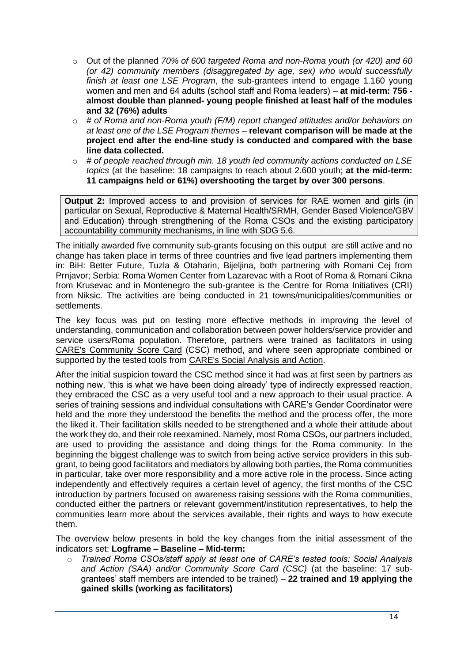- o Out of the planned *70% of 600 targeted Roma and non-Roma youth (or 420) and 60 (or 42) community members (disaggregated by age, sex) who would successfully finish at least one LSE Program*, the sub-grantees intend to engage 1.160 young women and men and 64 adults (school staff and Roma leaders) – **at mid-term: 756 almost double than planned- young people finished at least half of the modules and 32 (76%) adults**
- o *# of Roma and non-Roma youth (F/M) report changed attitudes and/or behaviors on at least one of the LSE Program themes* – **relevant comparison will be made at the project end after the end-line study is conducted and compared with the base line data collected.**
- o *# of people reached through min. 18 youth led community actions conducted on LSE topics* (at the baseline: 18 campaigns to reach about 2.600 youth; **at the mid-term: 11 campaigns held or 61%) overshooting the target by over 300 persons**.

**Output 2:** Improved access to and provision of services for RAE women and girls (in particular on Sexual, Reproductive & Maternal Health/SRMH, Gender Based Violence/GBV and Education) through strengthening of the Roma CSOs and the existing participatory accountability community mechanisms, in line with SDG 5.6.

The initially awarded five community sub-grants focusing on this output are still active and no change has taken place in terms of three countries and five lead partners implementing them in: BiH: Better Future, Tuzla & Otaharin, Bijeljina, both partnering with Romani Cej from Prnjavor; Serbia: Roma Women Center from Lazarevac with a Root of Roma & Romani Cikna from Krusevac and in Montenegro the sub-grantee is the Centre for Roma Initiatives (CRI) from Niksic. The activities are being conducted in 21 towns/municipalities/communities or settlements.

The key focus was put on testing more effective methods in improving the level of understanding, communication and collaboration between power holders/service provider and service users/Roma population. Therefore, partners were trained as facilitators in using [CARE's Community Score Card](https://www.care.org/community-score-card-csc-toolkit) (CSC) method, and where seen appropriate combined or supported by the tested tools from [CARE's Social Analysis and Action.](https://insights.careinternational.org.uk/images/in-practice/Gender-in-the-workplace/SAA.GlobalImplementationManual_FINAL.English.rights-reserved_2018.pdf)

After the initial suspicion toward the CSC method since it had was at first seen by partners as nothing new, 'this is what we have been doing already' type of indirectly expressed reaction, they embraced the CSC as a very useful tool and a new approach to their usual practice. A series of training sessions and individual consultations with CARE's Gender Coordinator were held and the more they understood the benefits the method and the process offer, the more the liked it. Their facilitation skills needed to be strengthened and a whole their attitude about the work they do, and their role reexamined. Namely, most Roma CSOs, our partners included, are used to providing the assistance and doing things for the Roma community. In the beginning the biggest challenge was to switch from being active service providers in this subgrant, to being good facilitators and mediators by allowing both parties, the Roma communities in particular, take over more responsibility and a more active role in the process. Since acting independently and effectively requires a certain level of agency, the first months of the CSC introduction by partners focused on awareness raising sessions with the Roma communities, conducted either the partners or relevant government/institution representatives, to help the communities learn more about the services available, their rights and ways to how execute them.

The overview below presents in bold the key changes from the initial assessment of the indicators set: **Logframe – Baseline – Mid-term:**

o *Trained Roma CSOs/staff apply at least one of CARE's tested tools: Social Analysis and Action (SAA) and/or Community Score Card (CSC)* (at the baseline: 17 subgrantees' staff members are intended to be trained) – **22 trained and 19 applying the gained skills (working as facilitators)**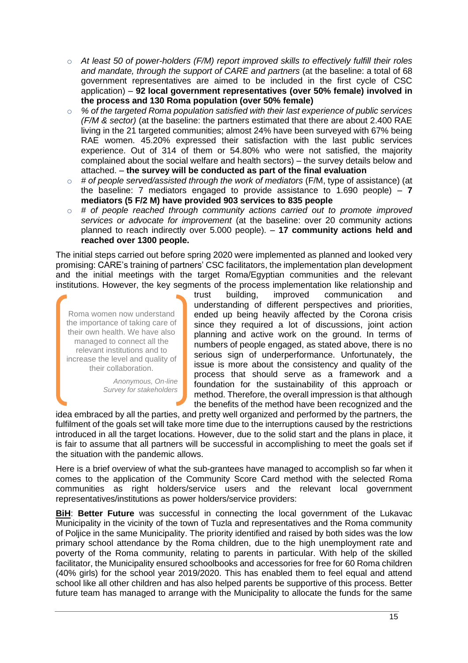- o *At least 50 of power-holders (F/M) report improved skills to effectively fulfill their roles and mandate, through the support of CARE and partners* (at the baseline: a total of 68 government representatives are aimed to be included in the first cycle of CSC application) – **92 local government representatives (over 50% female) involved in the process and 130 Roma population (over 50% female)**
- o *% of the targeted Roma population satisfied with their last experience of public services (F/M & sector)* (at the baseline: the partners estimated that there are about 2.400 RAE living in the 21 targeted communities; almost 24% have been surveyed with 67% being RAE women. 45.20% expressed their satisfaction with the last public services experience. Out of 314 of them or 54.80% who were not satisfied, the majority complained about the social welfare and health sectors) – the survey details below and attached. – **the survey will be conducted as part of the final evaluation**
- o *# of people served/assisted through the work of mediators* (F/M, type of assistance) (at the baseline: 7 mediators engaged to provide assistance to 1.690 people) – **7 mediators (5 F/2 M) have provided 903 services to 835 people**
- o *# of people reached through community actions carried out to promote improved services or advocate for improvement* (at the baseline: over 20 community actions planned to reach indirectly over 5.000 people). – **17 community actions held and reached over 1300 people.**

The initial steps carried out before spring 2020 were implemented as planned and looked very promising: CARE's training of partners' CSC facilitators, the implementation plan development and the initial meetings with the target Roma/Egyptian communities and the relevant institutions. However, the key segments of the process implementation like relationship and

Roma women now understand the importance of taking care of their own health. We have also managed to connect all the relevant institutions and to increase the level and quality of their collaboration.

> *Anonymous, On-line Survey for stakeholders*

trust building, improved communication and understanding of different perspectives and priorities, ended up being heavily affected by the Corona crisis since they required a lot of discussions, joint action planning and active work on the ground. In terms of numbers of people engaged, as stated above, there is no serious sign of underperformance. Unfortunately, the issue is more about the consistency and quality of the process that should serve as a framework and a foundation for the sustainability of this approach or method. Therefore, the overall impression is that although the benefits of the method have been recognized and the

idea embraced by all the parties, and pretty well organized and performed by the partners, the fulfilment of the goals set will take more time due to the interruptions caused by the restrictions introduced in all the target locations. However, due to the solid start and the plans in place, it is fair to assume that all partners will be successful in accomplishing to meet the goals set if the situation with the pandemic allows.

Here is a brief overview of what the sub-grantees have managed to accomplish so far when it comes to the application of the Community Score Card method with the selected Roma communities as right holders/service users and the relevant local government representatives/institutions as power holders/service providers:

**BiH: Better Future** was successful in connecting the local government of the Lukavac Municipality in the vicinity of the town of Tuzla and representatives and the Roma community of Poljice in the same Municipality. The priority identified and raised by both sides was the low primary school attendance by the Roma children, due to the high unemployment rate and poverty of the Roma community, relating to parents in particular. With help of the skilled facilitator, the Municipality ensured schoolbooks and accessories for free for 60 Roma children (40% girls) for the school year 2019/2020. This has enabled them to feel equal and attend school like all other children and has also helped parents be supportive of this process. Better future team has managed to arrange with the Municipality to allocate the funds for the same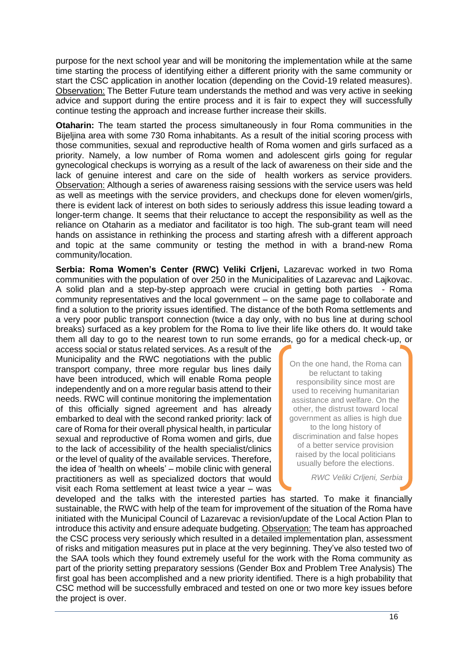purpose for the next school year and will be monitoring the implementation while at the same time starting the process of identifying either a different priority with the same community or start the CSC application in another location (depending on the Covid-19 related measures). Observation: The Better Future team understands the method and was very active in seeking advice and support during the entire process and it is fair to expect they will successfully continue testing the approach and increase further increase their skills.

**Otaharin:** The team started the process simultaneously in four Roma communities in the Bijeljina area with some 730 Roma inhabitants. As a result of the initial scoring process with those communities, sexual and reproductive health of Roma women and girls surfaced as a priority. Namely, a low number of Roma women and adolescent girls going for regular gynecological checkups is worrying as a result of the lack of awareness on their side and the lack of genuine interest and care on the side of health workers as service providers. Observation: Although a series of awareness raising sessions with the service users was held as well as meetings with the service providers, and checkups done for eleven women/girls, there is evident lack of interest on both sides to seriously address this issue leading toward a longer-term change. It seems that their reluctance to accept the responsibility as well as the reliance on Otaharin as a mediator and facilitator is too high. The sub-grant team will need hands on assistance in rethinking the process and starting afresh with a different approach and topic at the same community or testing the method in with a brand-new Roma community/location.

**Serbia: Roma Women's Center (RWC) Veliki Crljeni,** Lazarevac worked in two Roma communities with the population of over 250 in the Municipalities of Lazarevac and Lajkovac. A solid plan and a step-by-step approach were crucial in getting both parties - Roma community representatives and the local government – on the same page to collaborate and find a solution to the priority issues identified. The distance of the both Roma settlements and a very poor public transport connection (twice a day only, with no bus line at during school breaks) surfaced as a key problem for the Roma to live their life like others do. It would take them all day to go to the nearest town to run some errands, go for a medical check-up, or

access social or status related services. As a result of the Municipality and the RWC negotiations with the public transport company, three more regular bus lines daily have been introduced, which will enable Roma people independently and on a more regular basis attend to their needs. RWC will continue monitoring the implementation of this officially signed agreement and has already embarked to deal with the second ranked priority: lack of care of Roma for their overall physical health, in particular sexual and reproductive of Roma women and girls, due to the lack of accessibility of the health specialist/clinics or the level of quality of the available services. Therefore, the idea of 'health on wheels' – mobile clinic with general practitioners as well as specialized doctors that would visit each Roma settlement at least twice a year – was

On the one hand, the Roma can be reluctant to taking responsibility since most are used to receiving humanitarian assistance and welfare. On the other, the distrust toward local government as allies is high due to the long history of discrimination and false hopes of a better service provision raised by the local politicians usually before the elections.

*RWC Veliki Crljeni, Serbia*

developed and the talks with the interested parties has started. To make it financially sustainable, the RWC with help of the team for improvement of the situation of the Roma have initiated with the Municipal Council of Lazarevac a revision/update of the Local Action Plan to introduce this activity and ensure adequate budgeting. Observation: The team has approached the CSC process very seriously which resulted in a detailed implementation plan, assessment of risks and mitigation measures put in place at the very beginning. They've also tested two of the SAA tools which they found extremely useful for the work with the Roma community as part of the priority setting preparatory sessions (Gender Box and Problem Tree Analysis) The first goal has been accomplished and a new priority identified. There is a high probability that CSC method will be successfully embraced and tested on one or two more key issues before the project is over.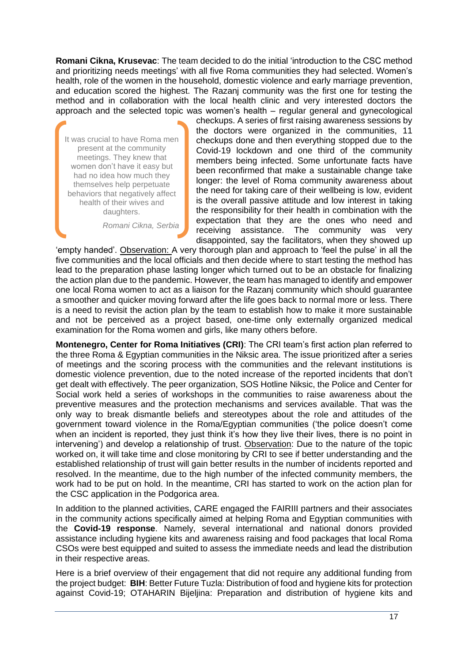**Romani Cikna, Krusevac**: The team decided to do the initial 'introduction to the CSC method and prioritizing needs meetings' with all five Roma communities they had selected. Women's health, role of the women in the household, domestic violence and early marriage prevention, and education scored the highest. The Razanj community was the first one for testing the method and in collaboration with the local health clinic and very interested doctors the approach and the selected topic was women's health – regular general and gynecological

It was crucial to have Roma men present at the community meetings. They knew that women don't have it easy but had no idea how much they themselves help perpetuate behaviors that negatively affect health of their wives and daughters.

*Romani Cikna, Serbia*

checkups. A series of first raising awareness sessions by the doctors were organized in the communities, 11 checkups done and then everything stopped due to the Covid-19 lockdown and one third of the community members being infected. Some unfortunate facts have been reconfirmed that make a sustainable change take longer: the level of Roma community awareness about the need for taking care of their wellbeing is low, evident is the overall passive attitude and low interest in taking the responsibility for their health in combination with the expectation that they are the ones who need and receiving assistance. The community was very disappointed, say the facilitators, when they showed up

'empty handed'. Observation: A very thorough plan and approach to 'feel the pulse' in all the five communities and the local officials and then decide where to start testing the method has lead to the preparation phase lasting longer which turned out to be an obstacle for finalizing the action plan due to the pandemic. However, the team has managed to identify and empower one local Roma women to act as a liaison for the Razanj community which should guarantee a smoother and quicker moving forward after the life goes back to normal more or less. There is a need to revisit the action plan by the team to establish how to make it more sustainable and not be perceived as a project based, one-time only externally organized medical examination for the Roma women and girls, like many others before.

**Montenegro, Center for Roma Initiatives (CRI)**: The CRI team's first action plan referred to the three Roma & Egyptian communities in the Niksic area. The issue prioritized after a series of meetings and the scoring process with the communities and the relevant institutions is domestic violence prevention, due to the noted increase of the reported incidents that don't get dealt with effectively. The peer organization, SOS Hotline Niksic, the Police and Center for Social work held a series of workshops in the communities to raise awareness about the preventive measures and the protection mechanisms and services available. That was the only way to break dismantle beliefs and stereotypes about the role and attitudes of the government toward violence in the Roma/Egyptian communities ('the police doesn't come when an incident is reported, they just think it's how they live their lives, there is no point in intervening') and develop a relationship of trust. Observation: Due to the nature of the topic worked on, it will take time and close monitoring by CRI to see if better understanding and the established relationship of trust will gain better results in the number of incidents reported and resolved. In the meantime, due to the high number of the infected community members, the work had to be put on hold. In the meantime, CRI has started to work on the action plan for the CSC application in the Podgorica area.

In addition to the planned activities, CARE engaged the FAIRIII partners and their associates in the community actions specifically aimed at helping Roma and Egyptian communities with the **Covid-19 response**. Namely, several international and national donors provided assistance including hygiene kits and awareness raising and food packages that local Roma CSOs were best equipped and suited to assess the immediate needs and lead the distribution in their respective areas.

Here is a brief overview of their engagement that did not require any additional funding from the project budget: **BIH**: Better Future Tuzla: Distribution of food and hygiene kits for protection against Covid-19; OTAHARIN Bijeljina: Preparation and distribution of hygiene kits and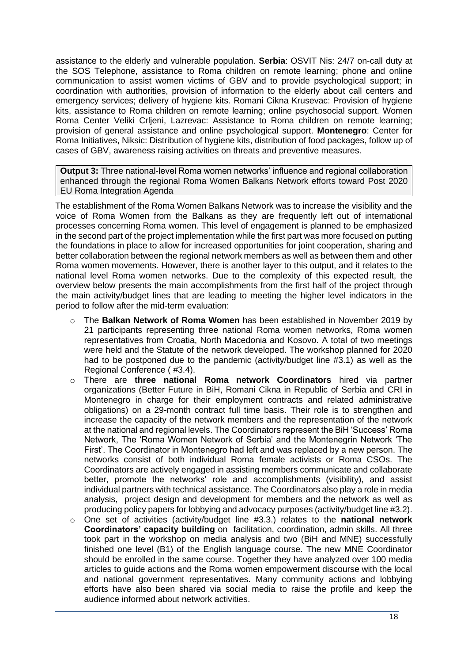assistance to the elderly and vulnerable population. **Serbia**: OSVIT Nis: 24/7 on-call duty at the SOS Telephone, assistance to Roma children on remote learning; phone and online communication to assist women victims of GBV and to provide psychological support; in coordination with authorities, provision of information to the elderly about call centers and emergency services; delivery of hygiene kits. Romani Cikna Krusevac: Provision of hygiene kits, assistance to Roma children on remote learning; online psychosocial support. Women Roma Center Veliki Crljeni, Lazrevac: Assistance to Roma children on remote learning; provision of general assistance and online psychological support. **Montenegro**: Center for Roma Initiatives, Niksic: Distribution of hygiene kits, distribution of food packages, follow up of cases of GBV, awareness raising activities on threats and preventive measures.

**Output 3:** Three national-level Roma women networks' influence and regional collaboration enhanced through the regional Roma Women Balkans Network efforts toward Post 2020 EU Roma Integration Agenda

The establishment of the Roma Women Balkans Network was to increase the visibility and the voice of Roma Women from the Balkans as they are frequently left out of international processes concerning Roma women. This level of engagement is planned to be emphasized in the second part of the project implementation while the first part was more focused on putting the foundations in place to allow for increased opportunities for joint cooperation, sharing and better collaboration between the regional network members as well as between them and other Roma women movements. However, there is another layer to this output, and it relates to the national level Roma women networks. Due to the complexity of this expected result, the overview below presents the main accomplishments from the first half of the project through the main activity/budget lines that are leading to meeting the higher level indicators in the period to follow after the mid-term evaluation:

- o The **Balkan Network of Roma Women** has been established in November 2019 by 21 participants representing three national Roma women networks, Roma women representatives from Croatia, North Macedonia and Kosovo. A total of two meetings were held and the Statute of the network developed. The workshop planned for 2020 had to be postponed due to the pandemic (activity/budget line #3.1) as well as the Regional Conference ( #3.4).
- o There are **three national Roma network Coordinators** hired via partner organizations (Better Future in BiH, Romani Cikna in Republic of Serbia and CRI in Montenegro in charge for their employment contracts and related administrative obligations) on a 29-month contract full time basis. Their role is to strengthen and increase the capacity of the network members and the representation of the network at the national and regional levels. The Coordinators represent the BiH 'Success' Roma Network, The 'Roma Women Network of Serbia' and the Montenegrin Network 'The First'. The Coordinator in Montenegro had left and was replaced by a new person. The networks consist of both individual Roma female activists or Roma CSOs. The Coordinators are actively engaged in assisting members communicate and collaborate better, promote the networks' role and accomplishments (visibility), and assist individual partners with technical assistance. The Coordinators also play a role in media analysis, project design and development for members and the network as well as producing policy papers for lobbying and advocacy purposes (activity/budget line #3.2).
- o One set of activities (activity/budget line #3.3.) relates to the **national network Coordinators' capacity building** on facilitation, coordination, admin skills. All three took part in the workshop on media analysis and two (BiH and MNE) successfully finished one level (B1) of the English language course. The new MNE Coordinator should be enrolled in the same course. Together they have analyzed over 100 media articles to guide actions and the Roma women empowerment discourse with the local and national government representatives. Many community actions and lobbying efforts have also been shared via social media to raise the profile and keep the audience informed about network activities.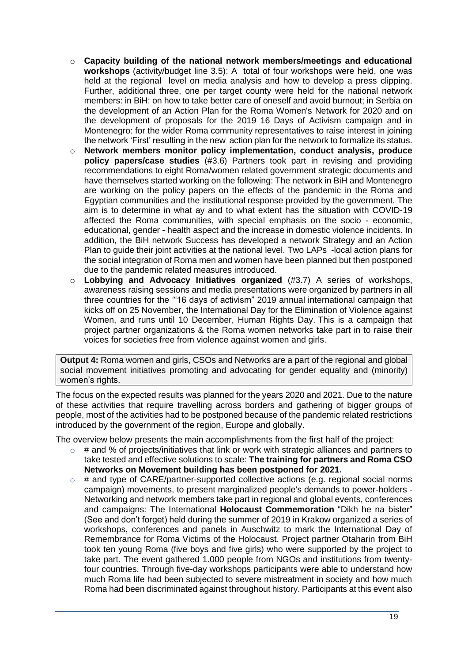- o **Capacity building of the national network members/meetings and educational workshops** (activity/budget line 3.5): A total of four workshops were held, one was held at the regional level on media analysis and how to develop a press clipping. Further, additional three, one per target county were held for the national network members: in BiH: on how to take better care of oneself and avoid burnout; in Serbia on the development of an Action Plan for the Roma Women's Network for 2020 and on the development of proposals for the 2019 16 Days of Activism campaign and in Montenegro: for the wider Roma community representatives to raise interest in joining the network 'First' resulting in the new action plan for the network to formalize its status.
- o **Network members monitor policy implementation, conduct analysis, produce policy papers/case studies** (#3.6) Partners took part in revising and providing recommendations to eight Roma/women related government strategic documents and have themselves started working on the following: The network in BiH and Montenegro are working on the policy papers on the effects of the pandemic in the Roma and Egyptian communities and the institutional response provided by the government. The aim is to determine in what ay and to what extent has the situation with COVID-19 affected the Roma communities, with special emphasis on the socio - economic, educational, gender - health aspect and the increase in domestic violence incidents. In addition, the BiH network Success has developed a network Strategy and an Action Plan to guide their joint activities at the national level. Two LAPs -local action plans for the social integration of Roma men and women have been planned but then postponed due to the pandemic related measures introduced.
- o **Lobbying and Advocacy Initiatives organized** (#3.7) A series of workshops, awareness raising sessions and media presentations were organized by partners in all three countries for the '"16 days of activism" 2019 annual international campaign that kicks off on 25 November, the International Day for the Elimination of Violence against Women, and runs until 10 December, Human Rights Day. This is a campaign that project partner organizations & the Roma women networks take part in to raise their voices for societies free from violence against women and girls.

**Output 4:** Roma women and girls, CSOs and Networks are a part of the regional and global social movement initiatives promoting and advocating for gender equality and (minority) women's rights.

The focus on the expected results was planned for the years 2020 and 2021. Due to the nature of these activities that require travelling across borders and gathering of bigger groups of people, most of the activities had to be postponed because of the pandemic related restrictions introduced by the government of the region, Europe and globally.

The overview below presents the main accomplishments from the first half of the project:

- $\circ$  # and % of projects/initiatives that link or work with strategic alliances and partners to take tested and effective solutions to scale: **The training for partners and Roma CSO Networks on Movement building has been postponed for 2021.**
- $\circ$  # and type of CARE/partner-supported collective actions (e.g. regional social norms campaign) movements, to present marginalized people's demands to power-holders - Networking and network members take part in regional and global events, conferences and campaigns: The International **Holocaust Commemoration** "Dikh he na bister" (See and don't forget) held during the summer of 2019 in Krakow organized a series of workshops, conferences and panels in Auschwitz to mark the International Day of Remembrance for Roma Victims of the Holocaust. Project partner Otaharin from BiH took ten young Roma (five boys and five girls) who were supported by the project to take part. The event gathered 1.000 people from NGOs and institutions from twentyfour countries. Through five-day workshops participants were able to understand how much Roma life had been subjected to severe mistreatment in society and how much Roma had been discriminated against throughout history. Participants at this event also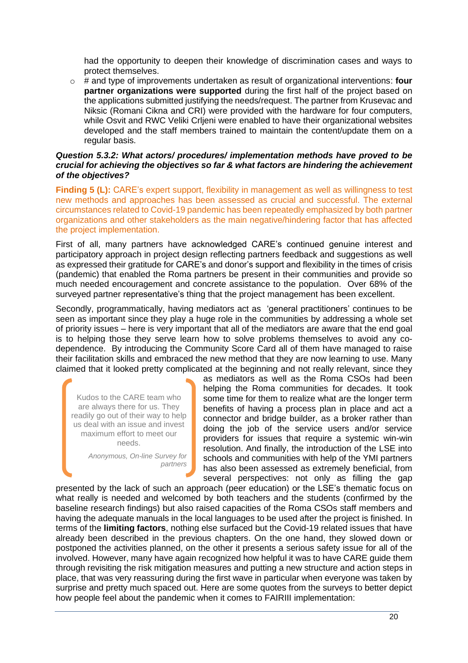had the opportunity to deepen their knowledge of discrimination cases and ways to protect themselves.

o # and type of improvements undertaken as result of organizational interventions: **four partner organizations were supported** during the first half of the project based on the applications submitted justifying the needs/request. The partner from Krusevac and Niksic (Romani Cikna and CRI) were provided with the hardware for four computers, while Osvit and RWC Veliki Crljeni were enabled to have their organizational websites developed and the staff members trained to maintain the content/update them on a regular basis.

#### *Question 5.3.2: What actors/ procedures/ implementation methods have proved to be crucial for achieving the objectives so far & what factors are hindering the achievement of the objectives?*

**Finding 5 (L):** CARE's expert support, flexibility in management as well as willingness to test new methods and approaches has been assessed as crucial and successful. The external circumstances related to Covid-19 pandemic has been repeatedly emphasized by both partner organizations and other stakeholders as the main negative/hindering factor that has affected the project implementation.

First of all, many partners have acknowledged CARE's continued genuine interest and participatory approach in project design reflecting partners feedback and suggestions as well as expressed their gratitude for CARE's and donor's support and flexibility in the times of crisis (pandemic) that enabled the Roma partners be present in their communities and provide so much needed encouragement and concrete assistance to the population. Over 68% of the surveyed partner representative's thing that the project management has been excellent.

Secondly, programmatically, having mediators act as 'general practitioners' continues to be seen as important since they play a huge role in the communities by addressing a whole set of priority issues – here is very important that all of the mediators are aware that the end goal is to helping those they serve learn how to solve problems themselves to avoid any codependence. By introducing the Community Score Card all of them have managed to raise their facilitation skills and embraced the new method that they are now learning to use. Many claimed that it looked pretty complicated at the beginning and not really relevant, since they

Kudos to the CARE team who are always there for us. They readily go out of their way to help us deal with an issue and invest maximum effort to meet our needs.

> *Anonymous, On-line Survey for partners*

as mediators as well as the Roma CSOs had been helping the Roma communities for decades. It took some time for them to realize what are the longer term benefits of having a process plan in place and act a connector and bridge builder, as a broker rather than doing the job of the service users and/or service providers for issues that require a systemic win-win resolution. And finally, the introduction of the LSE into schools and communities with help of the YMI partners has also been assessed as extremely beneficial, from several perspectives: not only as filling the gap

presented by the lack of such an approach (peer education) or the LSE's thematic focus on what really is needed and welcomed by both teachers and the students (confirmed by the baseline research findings) but also raised capacities of the Roma CSOs staff members and having the adequate manuals in the local languages to be used after the project is finished. In terms of the **limiting factors**, nothing else surfaced but the Covid-19 related issues that have already been described in the previous chapters. On the one hand, they slowed down or postponed the activities planned, on the other it presents a serious safety issue for all of the involved. However, many have again recognized how helpful it was to have CARE guide them through revisiting the risk mitigation measures and putting a new structure and action steps in place, that was very reassuring during the first wave in particular when everyone was taken by surprise and pretty much spaced out. Here are some quotes from the surveys to better depict how people feel about the pandemic when it comes to FAIRIII implementation: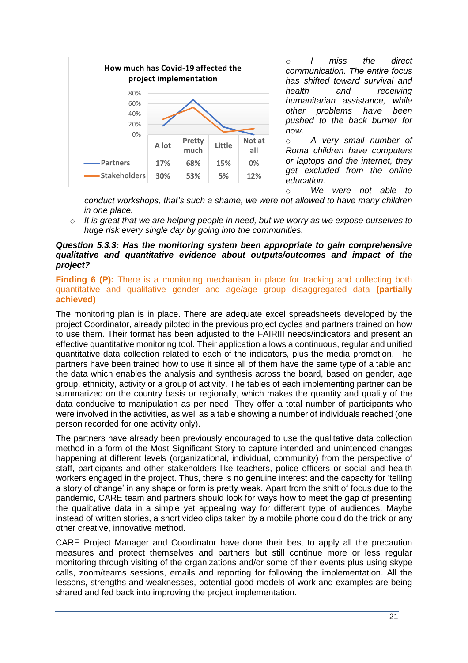

o *I miss the direct communication. The entire focus has shifted toward survival and*   $r$ *eceiving humanitarian assistance, while other problems have been pushed to the back burner for now.*

o *A very small number of Roma children have computers or laptops and the internet, they get excluded from the online education.*

o *We were not able to* 

*conduct workshops, that's such a shame, we were not allowed to have many children in one place.*

o *It is great that we are helping people in need, but we worry as we expose ourselves to huge risk every single day by going into the communities.*

### *Question 5.3.3: Has the monitoring system been appropriate to gain comprehensive qualitative and quantitative evidence about outputs/outcomes and impact of the project?*

**Finding 6 (P):** There is a monitoring mechanism in place for tracking and collecting both quantitative and qualitative gender and age/age group disaggregated data **(partially achieved)**

The monitoring plan is in place. There are adequate excel spreadsheets developed by the project Coordinator, already piloted in the previous project cycles and partners trained on how to use them. Their format has been adjusted to the FAIRIII needs/indicators and present an effective quantitative monitoring tool. Their application allows a continuous, regular and unified quantitative data collection related to each of the indicators, plus the media promotion. The partners have been trained how to use it since all of them have the same type of a table and the data which enables the analysis and synthesis across the board, based on gender, age group, ethnicity, activity or a group of activity. The tables of each implementing partner can be summarized on the country basis or regionally, which makes the quantity and quality of the data conducive to manipulation as per need. They offer a total number of participants who were involved in the activities, as well as a table showing a number of individuals reached (one person recorded for one activity only).

The partners have already been previously encouraged to use the qualitative data collection method in a form of the Most Significant Story to capture intended and unintended changes happening at different levels (organizational, individual, community) from the perspective of staff, participants and other stakeholders like teachers, police officers or social and health workers engaged in the project. Thus, there is no genuine interest and the capacity for 'telling a story of change' in any shape or form is pretty weak. Apart from the shift of focus due to the pandemic, CARE team and partners should look for ways how to meet the gap of presenting the qualitative data in a simple yet appealing way for different type of audiences. Maybe instead of written stories, a short video clips taken by a mobile phone could do the trick or any other creative, innovative method.

CARE Project Manager and Coordinator have done their best to apply all the precaution measures and protect themselves and partners but still continue more or less regular monitoring through visiting of the organizations and/or some of their events plus using skype calls, zoom/teams sessions, emails and reporting for following the implementation. All the lessons, strengths and weaknesses, potential good models of work and examples are being shared and fed back into improving the project implementation.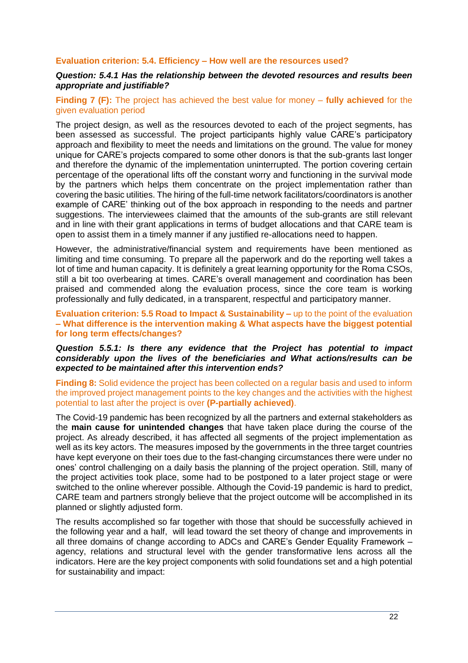#### **Evaluation criterion: 5.4. Efficiency – How well are the resources used?**

#### *Question: 5.4.1 Has the relationship between the devoted resources and results been appropriate and justifiable?*

#### **Finding 7 (F):** The project has achieved the best value for money – **fully achieved** for the given evaluation period

The project design, as well as the resources devoted to each of the project segments, has been assessed as successful. The project participants highly value CARE's participatory approach and flexibility to meet the needs and limitations on the ground. The value for money unique for CARE's projects compared to some other donors is that the sub-grants last longer and therefore the dynamic of the implementation uninterrupted. The portion covering certain percentage of the operational lifts off the constant worry and functioning in the survival mode by the partners which helps them concentrate on the project implementation rather than covering the basic utilities. The hiring of the full-time network facilitators/coordinators is another example of CARE' thinking out of the box approach in responding to the needs and partner suggestions. The interviewees claimed that the amounts of the sub-grants are still relevant and in line with their grant applications in terms of budget allocations and that CARE team is open to assist them in a timely manner if any justified re-allocations need to happen.

However, the administrative/financial system and requirements have been mentioned as limiting and time consuming. To prepare all the paperwork and do the reporting well takes a lot of time and human capacity. It is definitely a great learning opportunity for the Roma CSOs, still a bit too overbearing at times. CARE's overall management and coordination has been praised and commended along the evaluation process, since the core team is working professionally and fully dedicated, in a transparent, respectful and participatory manner.

#### **Evaluation criterion: 5.5 Road to Impact & Sustainability –** up to the point of the evaluation **– What difference is the intervention making & What aspects have the biggest potential for long term effects/changes?**

#### *Question 5.5.1: Is there any evidence that the Project has potential to impact considerably upon the lives of the beneficiaries and What actions/results can be expected to be maintained after this intervention ends?*

**Finding 8:** Solid evidence the project has been collected on a regular basis and used to inform the improved project management points to the key changes and the activities with the highest potential to last after the project is over **(P-partially achieved)**.

The Covid-19 pandemic has been recognized by all the partners and external stakeholders as the **main cause for unintended changes** that have taken place during the course of the project. As already described, it has affected all segments of the project implementation as well as its key actors. The measures imposed by the governments in the three target countries have kept everyone on their toes due to the fast-changing circumstances there were under no ones' control challenging on a daily basis the planning of the project operation. Still, many of the project activities took place, some had to be postponed to a later project stage or were switched to the online wherever possible. Although the Covid-19 pandemic is hard to predict, CARE team and partners strongly believe that the project outcome will be accomplished in its planned or slightly adjusted form.

The results accomplished so far together with those that should be successfully achieved in the following year and a half, will lead toward the set theory of change and improvements in all three domains of change according to ADCs and CARE's Gender Equality Framework – agency, relations and structural level with the gender transformative lens across all the indicators. Here are the key project components with solid foundations set and a high potential for sustainability and impact: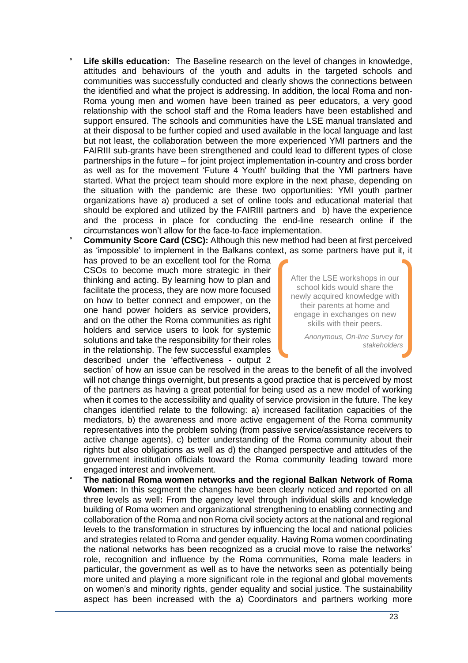**Life skills education:** The Baseline research on the level of changes in knowledge, attitudes and behaviours of the youth and adults in the targeted schools and communities was successfully conducted and clearly shows the connections between the identified and what the project is addressing. In addition, the local Roma and non-Roma young men and women have been trained as peer educators, a very good relationship with the school staff and the Roma leaders have been established and support ensured. The schools and communities have the LSE manual translated and at their disposal to be further copied and used available in the local language and last but not least, the collaboration between the more experienced YMI partners and the FAIRIII sub-grants have been strengthened and could lead to different types of close partnerships in the future – for joint project implementation in-country and cross border as well as for the movement 'Future 4 Youth' building that the YMI partners have started. What the project team should more explore in the next phase, depending on the situation with the pandemic are these two opportunities: YMI youth partner organizations have a) produced a set of online tools and educational material that should be explored and utilized by the FAIRIII partners and b) have the experience and the process in place for conducting the end-line research online if the circumstances won't allow for the face-to-face implementation.

**Community Score Card (CSC):** Although this new method had been at first perceived as 'impossible' to implement in the Balkans context, as some partners have put it, it

has proved to be an excellent tool for the Roma CSOs to become much more strategic in their thinking and acting. By learning how to plan and facilitate the process, they are now more focused on how to better connect and empower, on the one hand power holders as service providers, and on the other the Roma communities as right holders and service users to look for systemic solutions and take the responsibility for their roles in the relationship. The few successful examples described under the 'effectiveness - output 2

After the LSE workshops in our school kids would share the newly acquired knowledge with their parents at home and engage in exchanges on new skills with their peers.

> *Anonymous, On-line Survey for stakeholders*

section' of how an issue can be resolved in the areas to the benefit of all the involved will not change things overnight, but presents a good practice that is perceived by most of the partners as having a great potential for being used as a new model of working when it comes to the accessibility and quality of service provision in the future. The key changes identified relate to the following: a) increased facilitation capacities of the mediators, b) the awareness and more active engagement of the Roma community representatives into the problem solving (from passive service/assistance receivers to active change agents), c) better understanding of the Roma community about their rights but also obligations as well as d) the changed perspective and attitudes of the government institution officials toward the Roma community leading toward more engaged interest and involvement.

° **The national Roma women networks and the regional Balkan Network of Roma Women:** In this segment the changes have been clearly noticed and reported on all three levels as well**:** From the agency level through individual skills and knowledge building of Roma women and organizational strengthening to enabling connecting and collaboration of the Roma and non Roma civil society actors at the national and regional levels to the transformation in structures by influencing the local and national policies and strategies related to Roma and gender equality. Having Roma women coordinating the national networks has been recognized as a crucial move to raise the networks' role, recognition and influence by the Roma communities, Roma male leaders in particular, the government as well as to have the networks seen as potentially being more united and playing a more significant role in the regional and global movements on women's and minority rights, gender equality and social justice. The sustainability aspect has been increased with the a) Coordinators and partners working more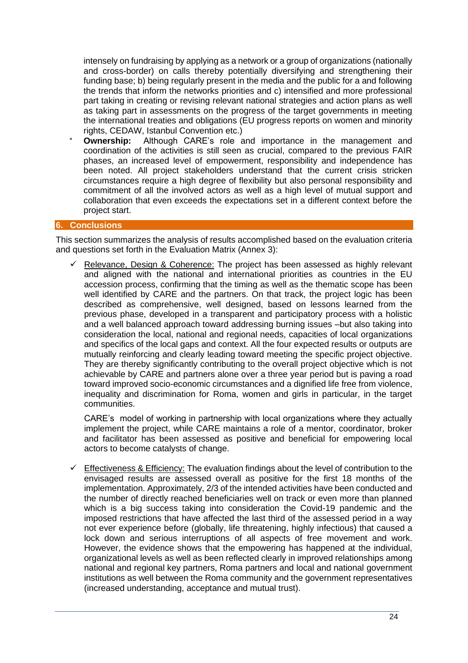intensely on fundraising by applying as a network or a group of organizations (nationally and cross-border) on calls thereby potentially diversifying and strengthening their funding base; b) being regularly present in the media and the public for a and following the trends that inform the networks priorities and c) intensified and more professional part taking in creating or revising relevant national strategies and action plans as well as taking part in assessments on the progress of the target governments in meeting the international treaties and obligations (EU progress reports on women and minority rights, CEDAW, Istanbul Convention etc.)

**Ownership:** Although CARE's role and importance in the management and coordination of the activities is still seen as crucial, compared to the previous FAIR phases, an increased level of empowerment, responsibility and independence has been noted. All project stakeholders understand that the current crisis stricken circumstances require a high degree of flexibility but also personal responsibility and commitment of all the involved actors as well as a high level of mutual support and collaboration that even exceeds the expectations set in a different context before the project start.

### **6. Conclusions**

This section summarizes the analysis of results accomplished based on the evaluation criteria and questions set forth in the Evaluation Matrix (Annex 3):

Relevance, Design & Coherence: The project has been assessed as highly relevant and aligned with the national and international priorities as countries in the EU accession process, confirming that the timing as well as the thematic scope has been well identified by CARE and the partners. On that track, the project logic has been described as comprehensive, well designed, based on lessons learned from the previous phase, developed in a transparent and participatory process with a holistic and a well balanced approach toward addressing burning issues –but also taking into consideration the local, national and regional needs, capacities of local organizations and specifics of the local gaps and context. All the four expected results or outputs are mutually reinforcing and clearly leading toward meeting the specific project objective. They are thereby significantly contributing to the overall project objective which is not achievable by CARE and partners alone over a three year period but is paving a road toward improved socio-economic circumstances and a dignified life free from violence, inequality and discrimination for Roma, women and girls in particular, in the target communities.

CARE's model of working in partnership with local organizations where they actually implement the project, while CARE maintains a role of a mentor, coordinator, broker and facilitator has been assessed as positive and beneficial for empowering local actors to become catalysts of change.

 $\checkmark$  Effectiveness & Efficiency: The evaluation findings about the level of contribution to the envisaged results are assessed overall as positive for the first 18 months of the implementation. Approximately, 2/3 of the intended activities have been conducted and the number of directly reached beneficiaries well on track or even more than planned which is a big success taking into consideration the Covid-19 pandemic and the imposed restrictions that have affected the last third of the assessed period in a way not ever experience before (globally, life threatening, highly infectious) that caused a lock down and serious interruptions of all aspects of free movement and work. However, the evidence shows that the empowering has happened at the individual, organizational levels as well as been reflected clearly in improved relationships among national and regional key partners, Roma partners and local and national government institutions as well between the Roma community and the government representatives (increased understanding, acceptance and mutual trust).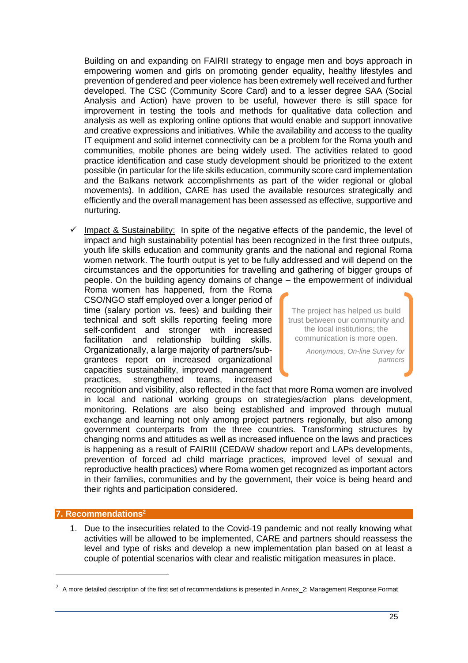Building on and expanding on FAIRII strategy to engage men and boys approach in empowering women and girls on promoting gender equality, healthy lifestyles and prevention of gendered and peer violence has been extremely well received and further developed. The CSC (Community Score Card) and to a lesser degree SAA (Social Analysis and Action) have proven to be useful, however there is still space for improvement in testing the tools and methods for qualitative data collection and analysis as well as exploring online options that would enable and support innovative and creative expressions and initiatives. While the availability and access to the quality IT equipment and solid internet connectivity can be a problem for the Roma youth and communities, mobile phones are being widely used. The activities related to good practice identification and case study development should be prioritized to the extent possible (in particular for the life skills education, community score card implementation and the Balkans network accomplishments as part of the wider regional or global movements). In addition, CARE has used the available resources strategically and efficiently and the overall management has been assessed as effective, supportive and nurturing.

 $\checkmark$  Impact & Sustainability: In spite of the negative effects of the pandemic, the level of impact and high sustainability potential has been recognized in the first three outputs, youth life skills education and community grants and the national and regional Roma women network. The fourth output is yet to be fully addressed and will depend on the circumstances and the opportunities for travelling and gathering of bigger groups of people. On the building agency domains of change – the empowerment of individual

Roma women has happened, from the Roma CSO/NGO staff employed over a longer period of time (salary portion vs. fees) and building their technical and soft skills reporting feeling more self-confident and stronger with increased facilitation and relationship building skills. Organizationally, a large majority of partners/subgrantees report on increased organizational capacities sustainability, improved management practices, strengthened teams, increased

The project has helped us build trust between our community and the local institutions; the communication is more open.

> *Anonymous, On-line Survey for partners*

recognition and visibility, also reflected in the fact that more Roma women are involved in local and national working groups on strategies/action plans development, monitoring. Relations are also being established and improved through mutual exchange and learning not only among project partners regionally, but also among government counterparts from the three countries. Transforming structures by changing norms and attitudes as well as increased influence on the laws and practices is happening as a result of FAIRIII (CEDAW shadow report and LAPs developments, prevention of forced ad child marriage practices, improved level of sexual and reproductive health practices) where Roma women get recognized as important actors in their families, communities and by the government, their voice is being heard and their rights and participation considered.

### **7. Recommendations<sup>2</sup>**

1. Due to the insecurities related to the Covid-19 pandemic and not really knowing what activities will be allowed to be implemented, CARE and partners should reassess the level and type of risks and develop a new implementation plan based on at least a couple of potential scenarios with clear and realistic mitigation measures in place.

 $2\,$  A more detailed description of the first set of recommendations is presented in Annex\_2: Management Response Format